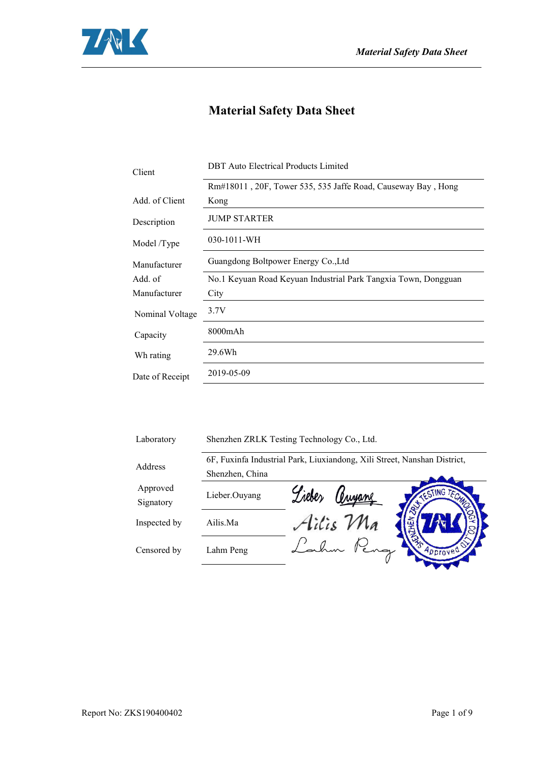

# **Material Safety Data Sheet**

| Client          | <b>DBT</b> Auto Electrical Products Limited                    |  |
|-----------------|----------------------------------------------------------------|--|
|                 | Rm#18011, 20F, Tower 535, 535 Jaffe Road, Causeway Bay, Hong   |  |
| Add. of Client  | Kong                                                           |  |
| Description     | <b>JUMP STARTER</b>                                            |  |
| Model /Type     | 030-1011-WH                                                    |  |
| Manufacturer    | Guangdong Boltpower Energy Co., Ltd                            |  |
| Add. of         | No.1 Keyuan Road Keyuan Industrial Park Tangxia Town, Dongguan |  |
| Manufacturer    | City                                                           |  |
| Nominal Voltage | 3.7V                                                           |  |
| Capacity        | 8000mAh                                                        |  |
| Wh rating       | 29.6Wh                                                         |  |
| Date of Receipt | 2019-05-09                                                     |  |
|                 |                                                                |  |

| Laboratory            | Shenzhen ZRLK Testing Technology Co., Ltd. |                                                                          |  |
|-----------------------|--------------------------------------------|--------------------------------------------------------------------------|--|
| Address               |                                            | 6F, Fuxinfa Industrial Park, Liuxiandong, Xili Street, Nanshan District, |  |
|                       | Shenzhen, China                            |                                                                          |  |
| Approved<br>Signatory | Lieber.Ouyang                              | <b>ESTING TEN</b><br>Privane                                             |  |
| Inspected by          | Ailis.Ma                                   | Ailis Ma                                                                 |  |
| Censored by           | Lahm Peng                                  | Approved                                                                 |  |
|                       |                                            |                                                                          |  |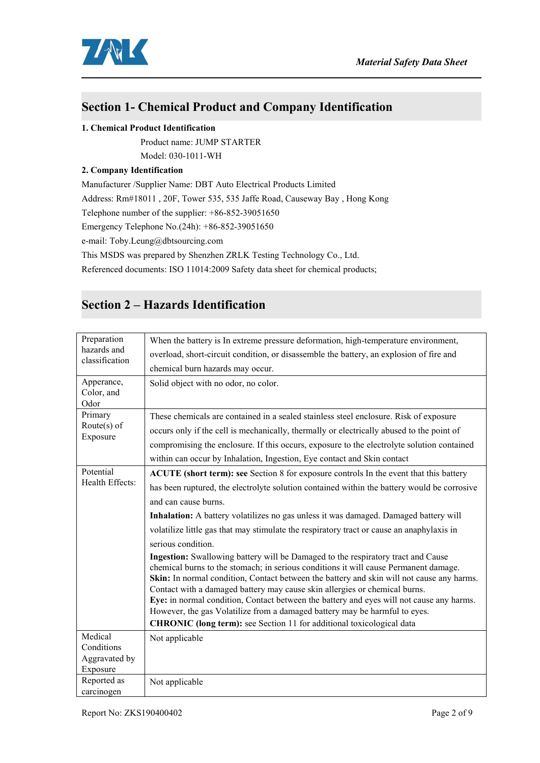

## **Section 1- Chemical Product and Company Identification**

#### **1. Chemical Product Identification**

Product name: JUMP STARTER

Model: 030-1011-WH

#### **2. Company Identification**

Manufacturer /Supplier Name: DBT Auto Electrical Products Limited Address: Rm#18011 , 20F, Tower 535, 535 Jaffe Road,Causeway Bay , Hong Kong Telephone number of the supplier: +86-852-39051650 Emergency Telephone No.(24h): +86-852-39051650 e-mail: Toby.Leung@dbtsourcing.com

This MSDS was prepared by Shenzhen ZRLK Testing Technology Co., Ltd.

Referenced documents: ISO 11014:2009 Safety data sheet for chemical products;

## **Section 2 – Hazards Identification**

| Preparation<br>hazards and<br>classification | When the battery is In extreme pressure deformation, high-temperature environment,                                                                                                                                                                                                                                                                                                                                                                                                                                                                                                                     |  |  |
|----------------------------------------------|--------------------------------------------------------------------------------------------------------------------------------------------------------------------------------------------------------------------------------------------------------------------------------------------------------------------------------------------------------------------------------------------------------------------------------------------------------------------------------------------------------------------------------------------------------------------------------------------------------|--|--|
|                                              | overload, short-circuit condition, or disassemble the battery, an explosion of fire and                                                                                                                                                                                                                                                                                                                                                                                                                                                                                                                |  |  |
|                                              | chemical burn hazards may occur.                                                                                                                                                                                                                                                                                                                                                                                                                                                                                                                                                                       |  |  |
| Apperance,<br>Color, and<br>Odor             | Solid object with no odor, no color.                                                                                                                                                                                                                                                                                                                                                                                                                                                                                                                                                                   |  |  |
| Primary                                      | These chemicals are contained in a sealed stainless steel enclosure. Risk of exposure                                                                                                                                                                                                                                                                                                                                                                                                                                                                                                                  |  |  |
| Route $(s)$ of                               | occurs only if the cell is mechanically, thermally or electrically abused to the point of                                                                                                                                                                                                                                                                                                                                                                                                                                                                                                              |  |  |
| Exposure                                     | compromising the enclosure. If this occurs, exposure to the electrolyte solution contained                                                                                                                                                                                                                                                                                                                                                                                                                                                                                                             |  |  |
|                                              | within can occur by Inhalation, Ingestion, Eye contact and Skin contact                                                                                                                                                                                                                                                                                                                                                                                                                                                                                                                                |  |  |
| Potential                                    | ACUTE (short term): see Section 8 for exposure controls In the event that this battery                                                                                                                                                                                                                                                                                                                                                                                                                                                                                                                 |  |  |
| Health Effects:                              | has been ruptured, the electrolyte solution contained within the battery would be corrosive                                                                                                                                                                                                                                                                                                                                                                                                                                                                                                            |  |  |
|                                              | and can cause burns.                                                                                                                                                                                                                                                                                                                                                                                                                                                                                                                                                                                   |  |  |
|                                              | Inhalation: A battery volatilizes no gas unless it was damaged. Damaged battery will                                                                                                                                                                                                                                                                                                                                                                                                                                                                                                                   |  |  |
|                                              | volatilize little gas that may stimulate the respiratory tract or cause an anaphylaxis in                                                                                                                                                                                                                                                                                                                                                                                                                                                                                                              |  |  |
|                                              | serious condition.                                                                                                                                                                                                                                                                                                                                                                                                                                                                                                                                                                                     |  |  |
|                                              | Ingestion: Swallowing battery will be Damaged to the respiratory tract and Cause<br>chemical burns to the stomach; in serious conditions it will cause Permanent damage.<br>Skin: In normal condition, Contact between the battery and skin will not cause any harms.<br>Contact with a damaged battery may cause skin allergies or chemical burns.<br>Eye: in normal condition, Contact between the battery and eyes will not cause any harms.<br>However, the gas Volatilize from a damaged battery may be harmful to eyes.<br>CHRONIC (long term): see Section 11 for additional toxicological data |  |  |
| Medical                                      | Not applicable                                                                                                                                                                                                                                                                                                                                                                                                                                                                                                                                                                                         |  |  |
| Conditions                                   |                                                                                                                                                                                                                                                                                                                                                                                                                                                                                                                                                                                                        |  |  |
| Aggravated by<br>Exposure                    |                                                                                                                                                                                                                                                                                                                                                                                                                                                                                                                                                                                                        |  |  |
| Reported as                                  | Not applicable                                                                                                                                                                                                                                                                                                                                                                                                                                                                                                                                                                                         |  |  |
| carcinogen                                   |                                                                                                                                                                                                                                                                                                                                                                                                                                                                                                                                                                                                        |  |  |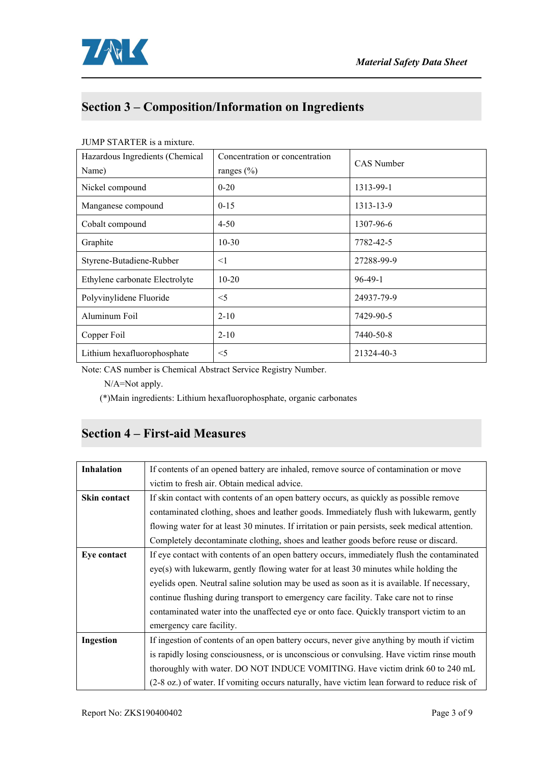

# **Section 3 – Composition/Information on Ingredients**

| Hazardous Ingredients (Chemical<br>Name) | Concentration or concentration<br>ranges $(\% )$ | <b>CAS</b> Number |
|------------------------------------------|--------------------------------------------------|-------------------|
| Nickel compound                          | $0 - 20$                                         | 1313-99-1         |
| Manganese compound                       | $0 - 15$                                         | 1313-13-9         |
| Cobalt compound                          | $4 - 50$                                         | 1307-96-6         |
| Graphite                                 | $10-30$                                          | 7782-42-5         |
| Styrene-Butadiene-Rubber                 | $\leq$ 1                                         | 27288-99-9        |
| Ethylene carbonate Electrolyte           | $10 - 20$                                        | $96-49-1$         |
| Polyvinylidene Fluoride                  | $<$ 5                                            | 24937-79-9        |
| Aluminum Foil                            | $2 - 10$                                         | 7429-90-5         |
| Copper Foil                              | $2 - 10$                                         | 7440-50-8         |
| Lithium hexafluorophosphate              | $<$ 5                                            | 21324-40-3        |

#### JUMP STARTER is a mixture.

Note: CAS number is Chemical Abstract Service Registry Number.

N/A=Not apply.

(\*)Main ingredients: Lithium hexafluorophosphate, organic carbonates

## **Section 4 – First-aid Measures**

| Inhalation   | If contents of an opened battery are inhaled, remove source of contamination or move           |
|--------------|------------------------------------------------------------------------------------------------|
|              | victim to fresh air. Obtain medical advice.                                                    |
| Skin contact | If skin contact with contents of an open battery occurs, as quickly as possible remove         |
|              | contaminated clothing, shoes and leather goods. Immediately flush with lukewarm, gently        |
|              | flowing water for at least 30 minutes. If irritation or pain persists, seek medical attention. |
|              | Completely decontaminate clothing, shoes and leather goods before reuse or discard.            |
| Eye contact  | If eye contact with contents of an open battery occurs, immediately flush the contaminated     |
|              | eye(s) with lukewarm, gently flowing water for at least 30 minutes while holding the           |
|              | eyelids open. Neutral saline solution may be used as soon as it is available. If necessary,    |
|              | continue flushing during transport to emergency care facility. Take care not to rinse          |
|              | contaminated water into the unaffected eye or onto face. Quickly transport victim to an        |
|              | emergency care facility.                                                                       |
| Ingestion    | If ingestion of contents of an open battery occurs, never give anything by mouth if victim     |
|              | is rapidly losing consciousness, or is unconscious or convulsing. Have victim rinse mouth      |
|              | thoroughly with water. DO NOT INDUCE VOMITING. Have victim drink 60 to 240 mL                  |
|              | (2-8 oz.) of water. If vomiting occurs naturally, have victim lean forward to reduce risk of   |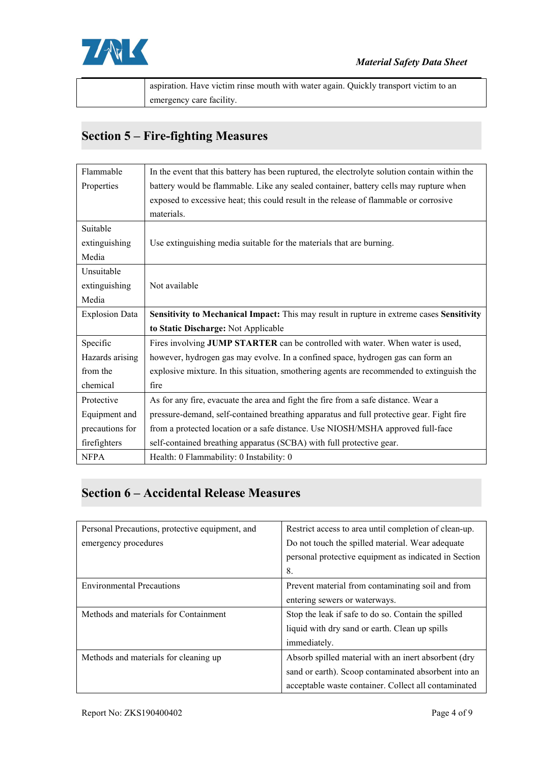

| . Have victim rinse mouth with water again. Ouickly transport victim to an<br>aspiration. |  |
|-------------------------------------------------------------------------------------------|--|
| emergency care facility.                                                                  |  |

# **Section 5 – Fire-fighting Measures**

| Flammable             | In the event that this battery has been ruptured, the electrolyte solution contain within the |
|-----------------------|-----------------------------------------------------------------------------------------------|
| Properties            | battery would be flammable. Like any sealed container, battery cells may rupture when         |
|                       | exposed to excessive heat; this could result in the release of flammable or corrosive         |
|                       | materials.                                                                                    |
| Suitable              |                                                                                               |
| extinguishing         | Use extinguishing media suitable for the materials that are burning.                          |
| Media                 |                                                                                               |
| Unsuitable            |                                                                                               |
| extinguishing         | Not available                                                                                 |
| Media                 |                                                                                               |
| <b>Explosion Data</b> | Sensitivity to Mechanical Impact: This may result in rupture in extreme cases Sensitivity     |
|                       | to Static Discharge: Not Applicable                                                           |
| Specific              | Fires involving JUMP STARTER can be controlled with water. When water is used,                |
| Hazards arising       | however, hydrogen gas may evolve. In a confined space, hydrogen gas can form an               |
| from the              | explosive mixture. In this situation, smothering agents are recommended to extinguish the     |
| chemical              | fire                                                                                          |
| Protective            | As for any fire, evacuate the area and fight the fire from a safe distance. Wear a            |
| Equipment and         | pressure-demand, self-contained breathing apparatus and full protective gear. Fight fire      |
| precautions for       | from a protected location or a safe distance. Use NIOSH/MSHA approved full-face               |
| firefighters          | self-contained breathing apparatus (SCBA) with full protective gear.                          |
| <b>NFPA</b>           | Health: 0 Flammability: 0 Instability: 0                                                      |

# **Section 6 – Accidental Release Measures**

| Personal Precautions, protective equipment, and | Restrict access to area until completion of clean-up. |  |
|-------------------------------------------------|-------------------------------------------------------|--|
| emergency procedures                            | Do not touch the spilled material. Wear adequate      |  |
|                                                 | personal protective equipment as indicated in Section |  |
|                                                 | 8.                                                    |  |
| <b>Environmental Precautions</b>                | Prevent material from contaminating soil and from     |  |
|                                                 | entering sewers or waterways.                         |  |
| Methods and materials for Containment           | Stop the leak if safe to do so. Contain the spilled   |  |
|                                                 | liquid with dry sand or earth. Clean up spills        |  |
|                                                 | immediately.                                          |  |
| Methods and materials for cleaning up           | Absorb spilled material with an inert absorbent (dry  |  |
|                                                 | sand or earth). Scoop contaminated absorbent into an  |  |
|                                                 | acceptable waste container. Collect all contaminated  |  |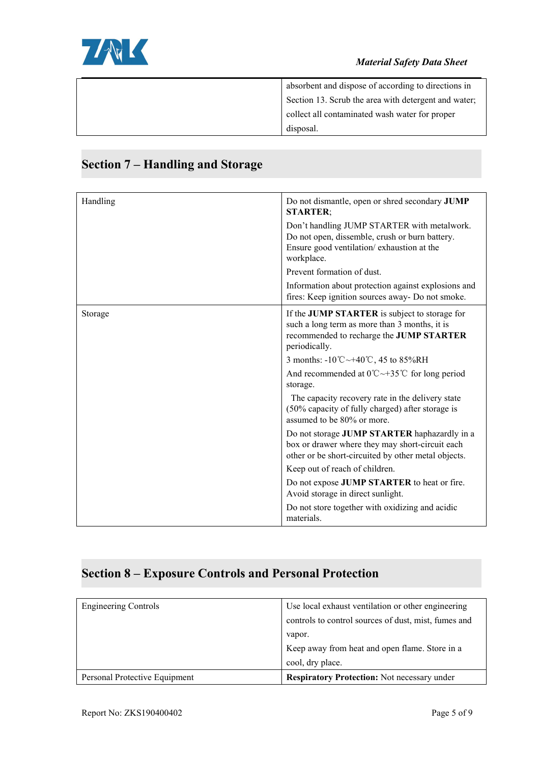

| absorbent and dispose of according to directions in  |  |
|------------------------------------------------------|--|
| Section 13. Scrub the area with detergent and water; |  |
| collect all contaminated wash water for proper       |  |
| disposal.                                            |  |

#### Handling **Handling** Do not dismantle, open or shred secondary **JUMP STARTER**; Don't handling JUMP STARTER with metalwork. Do not open, dissemble, crush or burn battery. Ensure good ventilation/ exhaustion at the workplace. Prevent formation of dust. Information about protection against explosions and fires: Keep ignition sources away- Do not smoke. **If the JUMP STARTER** is subject to storage for such a long term as more than 3 months, it is recommended to recharge the **JUMP STARTER** periodically. 3 months: -10℃~+40℃, 45 to 85%RH And recommended at 0℃~+35℃ for long period storage. The capacity recovery rate in the delivery state (50% capacity of fully charged) after storage is assumed to be 80% or more. Do not storage **JUMP STARTER** haphazardly in a box or drawer where they may short-circuit each other or be short-circuited by other metal objects. Keep out of reach of children. Do not expose **JUMP STARTER** to heat or fire. Avoid storage in direct sunlight.

## **Section 7 – Handling and Storage**

Do not store together with oxidizing and acidic materials.

#### **Section 8 – Exposure Controls and Personal Protection**

| <b>Engineering Controls</b>   | Use local exhaust ventilation or other engineering   |
|-------------------------------|------------------------------------------------------|
|                               | controls to control sources of dust, mist, fumes and |
|                               | vapor.                                               |
|                               | Keep away from heat and open flame. Store in a       |
|                               | cool, dry place.                                     |
| Personal Protective Equipment | <b>Respiratory Protection:</b> Not necessary under   |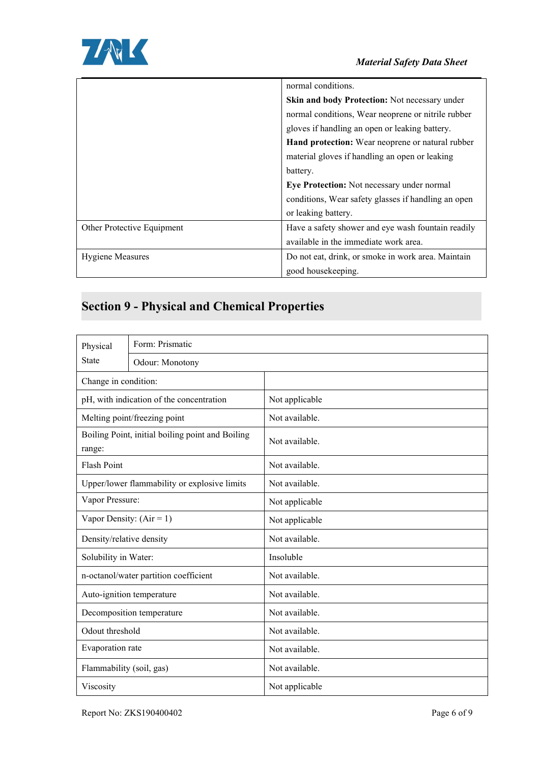

|                            | normal conditions.                                  |
|----------------------------|-----------------------------------------------------|
|                            | Skin and body Protection: Not necessary under       |
|                            | normal conditions, Wear neoprene or nitrile rubber  |
|                            | gloves if handling an open or leaking battery.      |
|                            | Hand protection: Wear neoprene or natural rubber    |
|                            | material gloves if handling an open or leaking      |
|                            | battery.                                            |
|                            | Eye Protection: Not necessary under normal          |
|                            | conditions, Wear safety glasses if handling an open |
|                            | or leaking battery.                                 |
| Other Protective Equipment | Have a safety shower and eye wash fountain readily  |
|                            | available in the immediate work area.               |
| <b>Hygiene Measures</b>    | Do not eat, drink, or smoke in work area. Maintain  |
|                            | good housekeeping.                                  |

# **Section 9 - Physical and Chemical Properties**

| Physical                                                   | Form: Prismatic |                |  |
|------------------------------------------------------------|-----------------|----------------|--|
| <b>State</b>                                               | Odour: Monotony |                |  |
| Change in condition:                                       |                 |                |  |
| pH, with indication of the concentration                   |                 | Not applicable |  |
| Melting point/freezing point                               |                 | Not available. |  |
| Boiling Point, initial boiling point and Boiling<br>range: |                 | Not available. |  |
| Flash Point                                                |                 | Not available. |  |
| Upper/lower flammability or explosive limits               |                 | Not available. |  |
| Vapor Pressure:                                            |                 | Not applicable |  |
| Vapor Density: $(Air = 1)$                                 |                 | Not applicable |  |
| Density/relative density                                   |                 | Not available. |  |
| Solubility in Water:                                       |                 | Insoluble      |  |
| n-octanol/water partition coefficient                      |                 | Not available. |  |
| Auto-ignition temperature                                  |                 | Not available. |  |
| Decomposition temperature                                  |                 | Not available. |  |
| Odout threshold                                            |                 | Not available. |  |
| Evaporation rate                                           |                 | Not available. |  |
| Flammability (soil, gas)                                   |                 | Not available. |  |
| Viscosity                                                  |                 | Not applicable |  |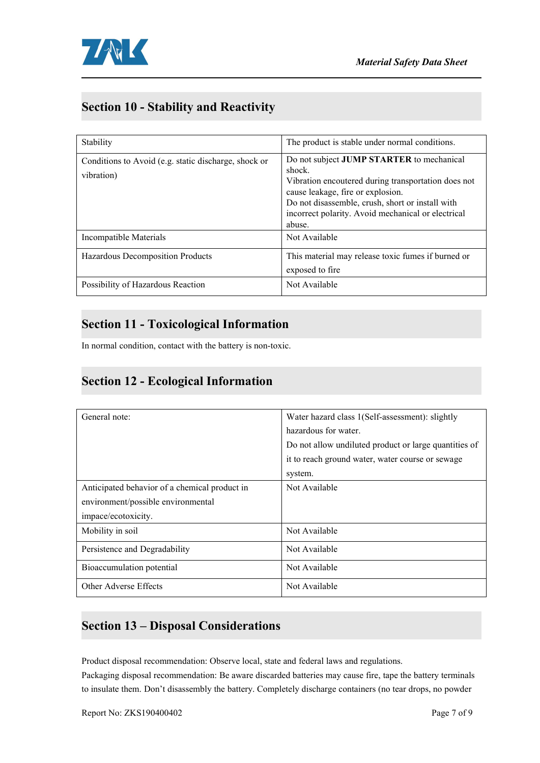

## **Section 10 - Stability and Reactivity**

| Stability                                                          | The product is stable under normal conditions.                                                                                                                                                                                                                             |
|--------------------------------------------------------------------|----------------------------------------------------------------------------------------------------------------------------------------------------------------------------------------------------------------------------------------------------------------------------|
| Conditions to Avoid (e.g. static discharge, shock or<br>vibration) | Do not subject <b>JUMP STARTER</b> to mechanical<br>shock.<br>Vibration encoutered during transportation does not<br>cause leakage, fire or explosion.<br>Do not disassemble, crush, short or install with<br>incorrect polarity. Avoid mechanical or electrical<br>abuse. |
| Incompatible Materials                                             | Not Available                                                                                                                                                                                                                                                              |
| Hazardous Decomposition Products                                   | This material may release toxic fumes if burned or<br>exposed to fire                                                                                                                                                                                                      |
| Possibility of Hazardous Reaction                                  | Not Available                                                                                                                                                                                                                                                              |

#### **Section 11 - Toxicological Information**

In normal condition, contact with the battery is non-toxic.

#### **Section 12 - Ecological Information**

| General note:                                 | Water hazard class 1(Self-assessment): slightly<br>hazardous for water.<br>Do not allow undiluted product or large quantities of<br>it to reach ground water, water course or sewage<br>system. |
|-----------------------------------------------|-------------------------------------------------------------------------------------------------------------------------------------------------------------------------------------------------|
| Anticipated behavior of a chemical product in | Not Available                                                                                                                                                                                   |
| environment/possible environmental            |                                                                                                                                                                                                 |
| impace/ecotoxicity.                           |                                                                                                                                                                                                 |
| Mobility in soil                              | Not Available                                                                                                                                                                                   |
| Persistence and Degradability                 | Not Available                                                                                                                                                                                   |
| Bioaccumulation potential                     | Not Available                                                                                                                                                                                   |
| Other Adverse Effects                         | Not Available                                                                                                                                                                                   |

## **Section 13 – Disposal Considerations**

Product disposal recommendation: Observe local, state and federal laws and regulations.

Packaging disposal recommendation: Be aware discarded batteries may cause fire, tape the battery terminals to insulate them. Don't disassembly the battery.Completely discharge containers (no tear drops, no powder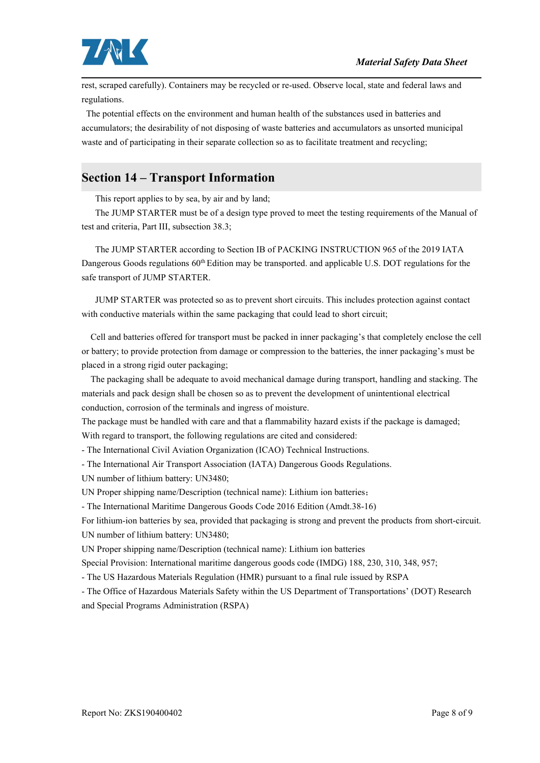

rest, scraped carefully). Containers may be recycled or re-used. Observe local, state and federal laws and regulations.

The potential effects on the environment and human health of the substances used in batteries and accumulators; the desirability of not disposing of waste batteries and accumulators as unsorted municipal waste and of participating in their separate collection so as to facilitate treatment and recycling;

## **Section 14 – Transport Information**

This report applies to by sea, by air and by land;

The JUMP STARTER must be of a design type proved to meet the testing requirements ofthe Manual of test and criteria, Part III, subsection 38.3;

The JUMP STARTER according to Section IB of PACKING INSTRUCTION 965 of the 2019 IATA Dangerous Goods regulations  $60<sup>th</sup>$  Edition may be transported. and applicable U.S. DOT regulations for the safe transport of JUMP STARTER.

JUMP STARTER was protected so as to prevent short circuits. This includes protection against contact with conductive materials within the same packaging that could lead to short circuit;

Cell and batteries offered for transport must be packed in inner packaging's that completely enclose the cell or battery; to provide protection from damage or compression to the batteries, the inner packaging's must be placed in a strong rigid outer packaging;

The packaging shall be adequate to avoid mechanical damage during transport, handling and stacking. The materials and pack design shall be chosen so as to prevent the development of unintentional electrical conduction, corrosion of the terminals and ingress of moisture.

The package must be handled with care and that a flammability hazard exists if the package is damaged; With regard to transport, the following regulations are cited and considered:

- The International Civil Aviation Organization (ICAO) Technical Instructions.

- The International Air Transport Association (IATA) Dangerous Goods Regulations.

UN number of lithium battery: UN3480;

UN Proper shipping name/Description (technical name): Lithium ion batteries;

- The International Maritime Dangerous Goods Code 2016 Edition (Amdt.38-16)

For lithium-ion batteries by sea, provided that packaging is strong and prevent the products from short-circuit. UN number of lithium battery: UN3480;

UN Proper shipping name/Description (technical name): Lithium ion batteries

Special Provision: International maritime dangerous goods code (IMDG) 188, 230, 310, 348, 957;

- The US Hazardous Materials Regulation (HMR) pursuant to a final rule issued by RSPA

- The Office of Hazardous Materials Safety within the US Department of Transportations' (DOT) Research and Special Programs Administration (RSPA)